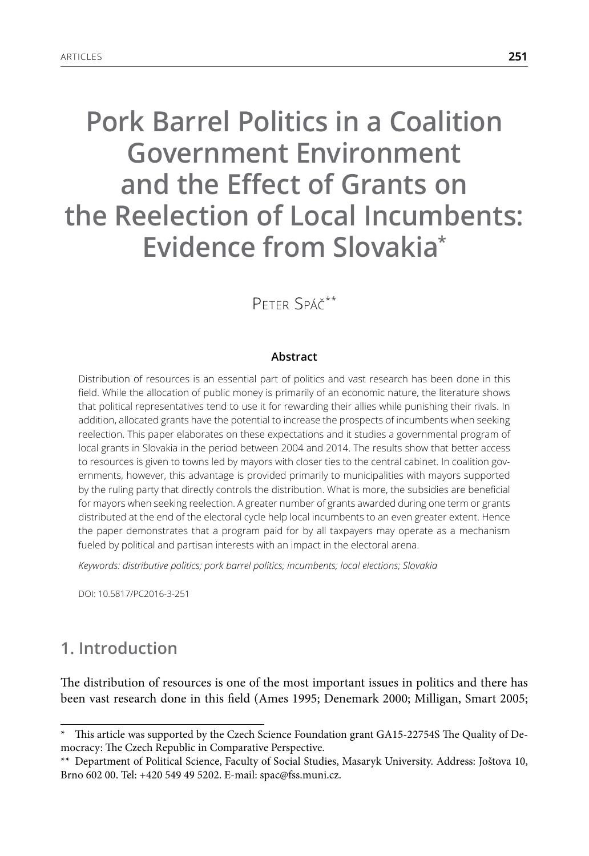# **Pork Barrel Politics in a Coalition Government Environment and the Effect of Grants on the Reelection of Local Incumbents: Evidence from Slovakia\***

# Peter Spáč\*\*

#### **Abstract**

Distribution of resources is an essential part of politics and vast research has been done in this field. While the allocation of public money is primarily of an economic nature, the literature shows that political representatives tend to use it for rewarding their allies while punishing their rivals. In addition, allocated grants have the potential to increase the prospects of incumbents when seeking reelection. This paper elaborates on these expectations and it studies a governmental program of local grants in Slovakia in the period between 2004 and 2014. The results show that better access to resources is given to towns led by mayors with closer ties to the central cabinet. In coalition governments, however, this advantage is provided primarily to municipalities with mayors supported by the ruling party that directly controls the distribution. What is more, the subsidies are beneficial for mayors when seeking reelection. A greater number of grants awarded during one term or grants distributed at the end of the electoral cycle help local incumbents to an even greater extent. Hence the paper demonstrates that a program paid for by all taxpayers may operate as a mechanism fueled by political and partisan interests with an impact in the electoral arena.

*Keywords: distributive politics; pork barrel politics; incumbents; local elections; Slovakia*

DOI: 10.5817/PC2016-3-251

# **1. Introduction**

The distribution of resources is one of the most important issues in politics and there has been vast research done in this field (Ames 1995; Denemark 2000; Milligan, Smart 2005;

This article was supported by the Czech Science Foundation grant GA15-22754S The Quality of Democracy: The Czech Republic in Comparative Perspective.

<sup>\*\*</sup> Department of Political Science, Faculty of Social Studies, Masaryk University. Address: Joštova 10, Brno 602 00. Tel: +420 549 49 5202. E-mail: spac@fss.muni.cz.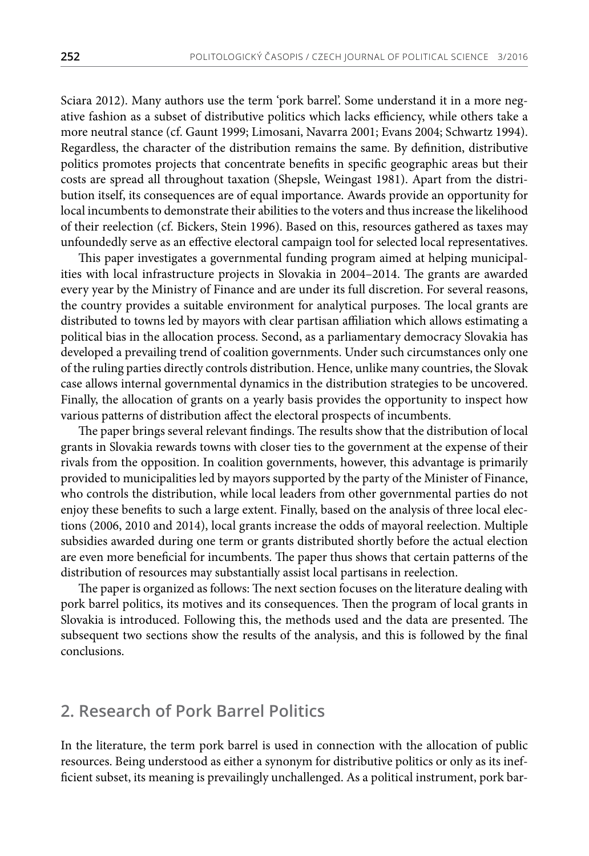Sciara 2012). Many authors use the term 'pork barrel'. Some understand it in a more negative fashion as a subset of distributive politics which lacks efficiency, while others take a more neutral stance (cf. Gaunt 1999; Limosani, Navarra 2001; Evans 2004; Schwartz 1994). Regardless, the character of the distribution remains the same. By definition, distributive politics promotes projects that concentrate benefits in specific geographic areas but their costs are spread all throughout taxation (Shepsle, Weingast 1981). Apart from the distribution itself, its consequences are of equal importance. Awards provide an opportunity for local incumbents to demonstrate their abilities to the voters and thus increase the likelihood of their reelection (cf. Bickers, Stein 1996). Based on this, resources gathered as taxes may unfoundedly serve as an effective electoral campaign tool for selected local representatives.

This paper investigates a governmental funding program aimed at helping municipalities with local infrastructure projects in Slovakia in 2004–2014. The grants are awarded every year by the Ministry of Finance and are under its full discretion. For several reasons, the country provides a suitable environment for analytical purposes. The local grants are distributed to towns led by mayors with clear partisan affiliation which allows estimating a political bias in the allocation process. Second, as a parliamentary democracy Slovakia has developed a prevailing trend of coalition governments. Under such circumstances only one of the ruling parties directly controls distribution. Hence, unlike many countries, the Slovak case allows internal governmental dynamics in the distribution strategies to be uncovered. Finally, the allocation of grants on a yearly basis provides the opportunity to inspect how various patterns of distribution affect the electoral prospects of incumbents.

The paper brings several relevant findings. The results show that the distribution of local grants in Slovakia rewards towns with closer ties to the government at the expense of their rivals from the opposition. In coalition governments, however, this advantage is primarily provided to municipalities led by mayors supported by the party of the Minister of Finance, who controls the distribution, while local leaders from other governmental parties do not enjoy these benefits to such a large extent. Finally, based on the analysis of three local elections (2006, 2010 and 2014), local grants increase the odds of mayoral reelection. Multiple subsidies awarded during one term or grants distributed shortly before the actual election are even more beneficial for incumbents. The paper thus shows that certain patterns of the distribution of resources may substantially assist local partisans in reelection.

The paper is organized as follows: The next section focuses on the literature dealing with pork barrel politics, its motives and its consequences. Then the program of local grants in Slovakia is introduced. Following this, the methods used and the data are presented. The subsequent two sections show the results of the analysis, and this is followed by the final conclusions.

#### **2. Research of Pork Barrel Politics**

In the literature, the term pork barrel is used in connection with the allocation of public resources. Being understood as either a synonym for distributive politics or only as its inefficient subset, its meaning is prevailingly unchallenged. As a political instrument, pork bar-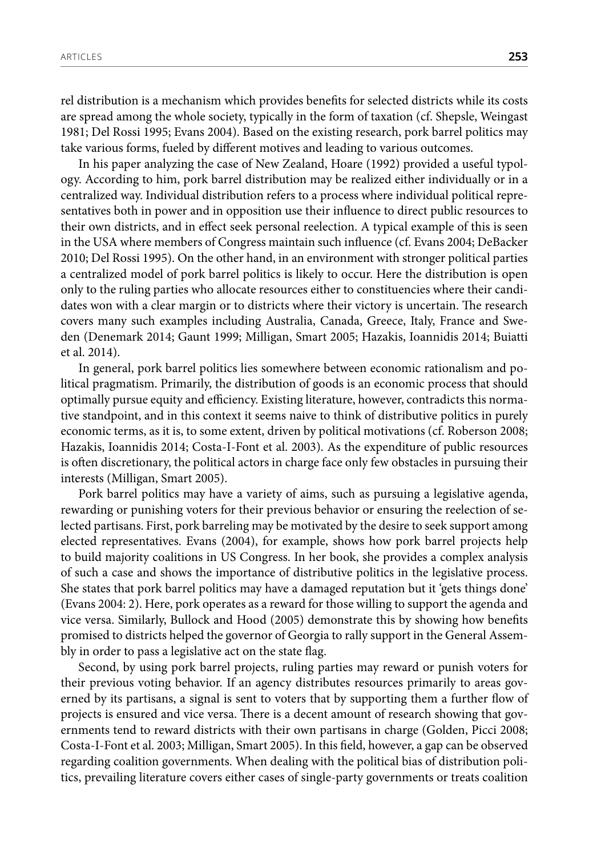rel distribution is a mechanism which provides benefits for selected districts while its costs are spread among the whole society, typically in the form of taxation (cf. Shepsle, Weingast 1981; Del Rossi 1995; Evans 2004). Based on the existing research, pork barrel politics may take various forms, fueled by different motives and leading to various outcomes.

In his paper analyzing the case of New Zealand, Hoare (1992) provided a useful typology. According to him, pork barrel distribution may be realized either individually or in a centralized way. Individual distribution refers to a process where individual political representatives both in power and in opposition use their influence to direct public resources to their own districts, and in effect seek personal reelection. A typical example of this is seen in the USA where members of Congress maintain such influence (cf. Evans 2004; DeBacker 2010; Del Rossi 1995). On the other hand, in an environment with stronger political parties a centralized model of pork barrel politics is likely to occur. Here the distribution is open only to the ruling parties who allocate resources either to constituencies where their candidates won with a clear margin or to districts where their victory is uncertain. The research covers many such examples including Australia, Canada, Greece, Italy, France and Sweden (Denemark 2014; Gaunt 1999; Milligan, Smart 2005; Hazakis, Ioannidis 2014; Buiatti et al. 2014).

In general, pork barrel politics lies somewhere between economic rationalism and political pragmatism. Primarily, the distribution of goods is an economic process that should optimally pursue equity and efficiency. Existing literature, however, contradicts this normative standpoint, and in this context it seems naive to think of distributive politics in purely economic terms, as it is, to some extent, driven by political motivations (cf. Roberson 2008; Hazakis, Ioannidis 2014; Costa-I-Font et al. 2003). As the expenditure of public resources is often discretionary, the political actors in charge face only few obstacles in pursuing their interests (Milligan, Smart 2005).

Pork barrel politics may have a variety of aims, such as pursuing a legislative agenda, rewarding or punishing voters for their previous behavior or ensuring the reelection of selected partisans. First, pork barreling may be motivated by the desire to seek support among elected representatives. Evans (2004), for example, shows how pork barrel projects help to build majority coalitions in US Congress. In her book, she provides a complex analysis of such a case and shows the importance of distributive politics in the legislative process. She states that pork barrel politics may have a damaged reputation but it 'gets things done' (Evans 2004: 2). Here, pork operates as a reward for those willing to support the agenda and vice versa. Similarly, Bullock and Hood (2005) demonstrate this by showing how benefits promised to districts helped the governor of Georgia to rally support in the General Assembly in order to pass a legislative act on the state flag.

Second, by using pork barrel projects, ruling parties may reward or punish voters for their previous voting behavior. If an agency distributes resources primarily to areas governed by its partisans, a signal is sent to voters that by supporting them a further flow of projects is ensured and vice versa. There is a decent amount of research showing that governments tend to reward districts with their own partisans in charge (Golden, Picci 2008; Costa-I-Font et al. 2003; Milligan, Smart 2005). In this field, however, a gap can be observed regarding coalition governments. When dealing with the political bias of distribution politics, prevailing literature covers either cases of single-party governments or treats coalition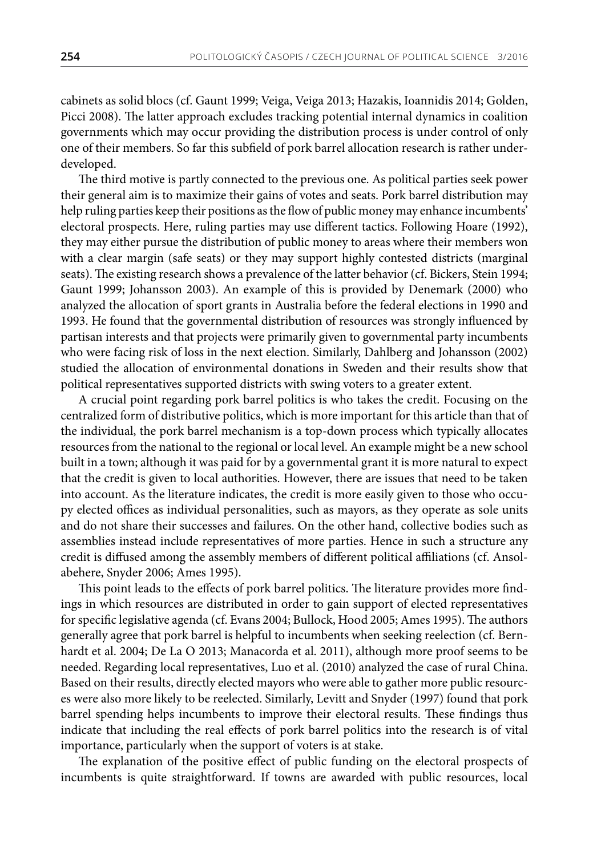cabinets as solid blocs (cf. Gaunt 1999; Veiga, Veiga 2013; Hazakis, Ioannidis 2014; Golden, Picci 2008). The latter approach excludes tracking potential internal dynamics in coalition governments which may occur providing the distribution process is under control of only one of their members. So far this subfield of pork barrel allocation research is rather underdeveloped.

The third motive is partly connected to the previous one. As political parties seek power their general aim is to maximize their gains of votes and seats. Pork barrel distribution may help ruling parties keep their positions as the flow of public money may enhance incumbents' electoral prospects. Here, ruling parties may use different tactics. Following Hoare (1992), they may either pursue the distribution of public money to areas where their members won with a clear margin (safe seats) or they may support highly contested districts (marginal seats). The existing research shows a prevalence of the latter behavior (cf. Bickers, Stein 1994; Gaunt 1999; Johansson 2003). An example of this is provided by Denemark (2000) who analyzed the allocation of sport grants in Australia before the federal elections in 1990 and 1993. He found that the governmental distribution of resources was strongly influenced by partisan interests and that projects were primarily given to governmental party incumbents who were facing risk of loss in the next election. Similarly, Dahlberg and Johansson (2002) studied the allocation of environmental donations in Sweden and their results show that political representatives supported districts with swing voters to a greater extent.

A crucial point regarding pork barrel politics is who takes the credit. Focusing on the centralized form of distributive politics, which is more important for this article than that of the individual, the pork barrel mechanism is a top-down process which typically allocates resources from the national to the regional or local level. An example might be a new school built in a town; although it was paid for by a governmental grant it is more natural to expect that the credit is given to local authorities. However, there are issues that need to be taken into account. As the literature indicates, the credit is more easily given to those who occupy elected offices as individual personalities, such as mayors, as they operate as sole units and do not share their successes and failures. On the other hand, collective bodies such as assemblies instead include representatives of more parties. Hence in such a structure any credit is diffused among the assembly members of different political affiliations (cf. Ansolabehere, Snyder 2006; Ames 1995).

This point leads to the effects of pork barrel politics. The literature provides more findings in which resources are distributed in order to gain support of elected representatives for specific legislative agenda (cf. Evans 2004; Bullock, Hood 2005; Ames 1995). The authors generally agree that pork barrel is helpful to incumbents when seeking reelection (cf. Bernhardt et al. 2004; De La O 2013; Manacorda et al. 2011), although more proof seems to be needed. Regarding local representatives, Luo et al. (2010) analyzed the case of rural China. Based on their results, directly elected mayors who were able to gather more public resources were also more likely to be reelected. Similarly, Levitt and Snyder (1997) found that pork barrel spending helps incumbents to improve their electoral results. These findings thus indicate that including the real effects of pork barrel politics into the research is of vital importance, particularly when the support of voters is at stake.

The explanation of the positive effect of public funding on the electoral prospects of incumbents is quite straightforward. If towns are awarded with public resources, local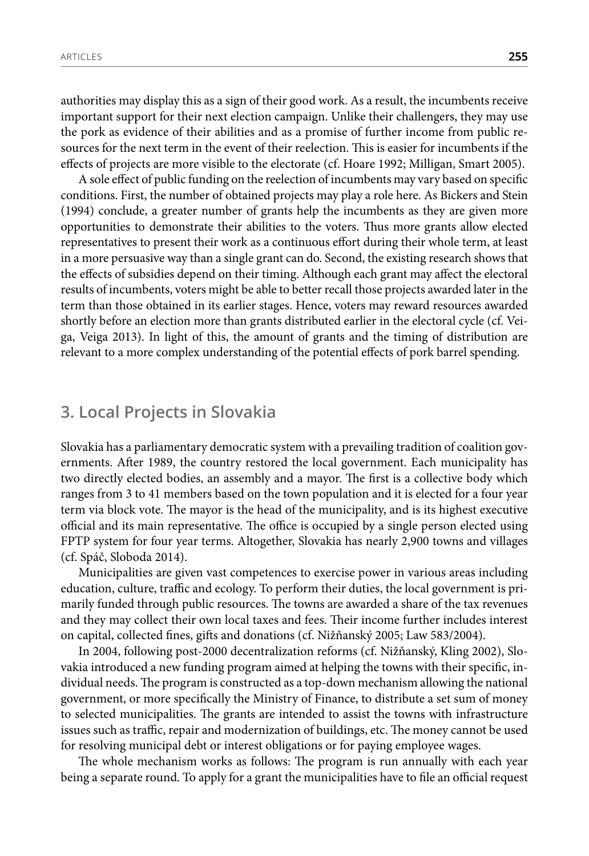authorities may display this as a sign of their good work. As a result, the incumbents receive important support for their next election campaign. Unlike their challengers, they may use the pork as evidence of their abilities and as a promise of further income from public resources for the next term in the event of their reelection. This is easier for incumbents if the effects of projects are more visible to the electorate (cf. Hoare 1992; Milligan, Smart 2005).

A sole effect of public funding on the reelection of incumbents may vary based on specific conditions. First, the number of obtained projects may play a role here. As Bickers and Stein (1994) conclude, a greater number of grants help the incumbents as they are given more opportunities to demonstrate their abilities to the voters. Thus more grants allow elected representatives to present their work as a continuous effort during their whole term, at least in a more persuasive way than a single grant can do. Second, the existing research shows that the effects of subsidies depend on their timing. Although each grant may affect the electoral results of incumbents, voters might be able to better recall those projects awarded later in the term than those obtained in its earlier stages. Hence, voters may reward resources awarded shortly before an election more than grants distributed earlier in the electoral cycle (cf. Veiga, Veiga 2013). In light of this, the amount of grants and the timing of distribution are relevant to a more complex understanding of the potential effects of pork barrel spending.

#### **3. Local Projects in Slovakia**

Slovakia has a parliamentary democratic system with a prevailing tradition of coalition governments. After 1989, the country restored the local government. Each municipality has two directly elected bodies, an assembly and a mayor. The first is a collective body which ranges from 3 to 41 members based on the town population and it is elected for a four year term via block vote. The mayor is the head of the municipality, and is its highest executive official and its main representative. The office is occupied by a single person elected using FPTP system for four year terms. Altogether, Slovakia has nearly 2,900 towns and villages (cf. Spáč, Sloboda 2014).

Municipalities are given vast competences to exercise power in various areas including education, culture, traffic and ecology. To perform their duties, the local government is primarily funded through public resources. The towns are awarded a share of the tax revenues and they may collect their own local taxes and fees. Their income further includes interest on capital, collected fines, gifts and donations (cf. Nižňanský 2005; Law 583/2004).

In 2004, following post-2000 decentralization reforms (cf. Nižňanský, Kling 2002), Slovakia introduced a new funding program aimed at helping the towns with their specific, individual needs. The program is constructed as a top-down mechanism allowing the national government, or more specifically the Ministry of Finance, to distribute a set sum of money to selected municipalities. The grants are intended to assist the towns with infrastructure issues such as traffic, repair and modernization of buildings, etc. The money cannot be used for resolving municipal debt or interest obligations or for paying employee wages.

The whole mechanism works as follows: The program is run annually with each year being a separate round. To apply for a grant the municipalities have to file an official request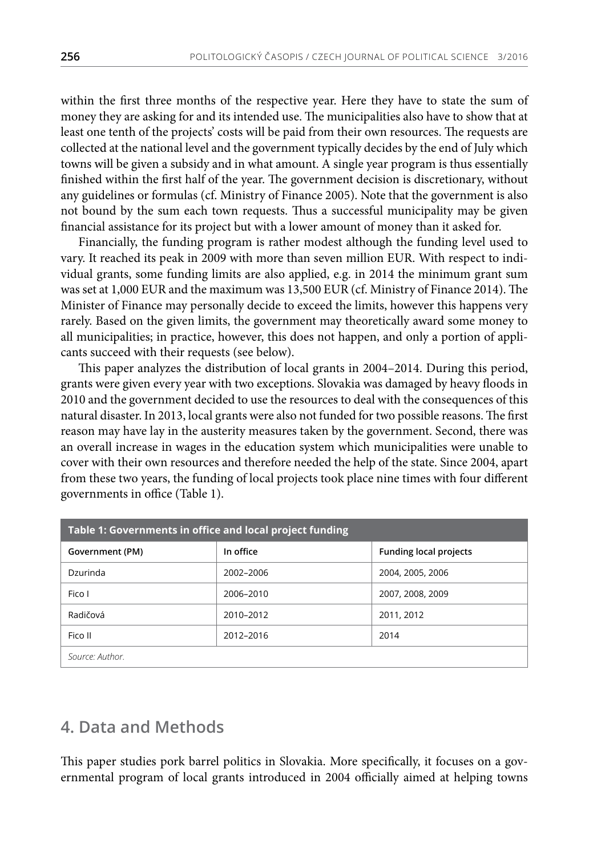within the first three months of the respective year. Here they have to state the sum of money they are asking for and its intended use. The municipalities also have to show that at least one tenth of the projects' costs will be paid from their own resources. The requests are collected at the national level and the government typically decides by the end of July which towns will be given a subsidy and in what amount. A single year program is thus essentially finished within the first half of the year. The government decision is discretionary, without any guidelines or formulas (cf. Ministry of Finance 2005). Note that the government is also not bound by the sum each town requests. Thus a successful municipality may be given financial assistance for its project but with a lower amount of money than it asked for.

Financially, the funding program is rather modest although the funding level used to vary. It reached its peak in 2009 with more than seven million EUR. With respect to individual grants, some funding limits are also applied, e.g. in 2014 the minimum grant sum was set at 1,000 EUR and the maximum was 13,500 EUR (cf. Ministry of Finance 2014). The Minister of Finance may personally decide to exceed the limits, however this happens very rarely. Based on the given limits, the government may theoretically award some money to all municipalities; in practice, however, this does not happen, and only a portion of applicants succeed with their requests (see below).

This paper analyzes the distribution of local grants in 2004–2014. During this period, grants were given every year with two exceptions. Slovakia was damaged by heavy floods in 2010 and the government decided to use the resources to deal with the consequences of this natural disaster. In 2013, local grants were also not funded for two possible reasons. The first reason may have lay in the austerity measures taken by the government. Second, there was an overall increase in wages in the education system which municipalities were unable to cover with their own resources and therefore needed the help of the state. Since 2004, apart from these two years, the funding of local projects took place nine times with four different governments in office (Table 1).

| Table 1: Governments in office and local project funding |           |                               |  |  |  |
|----------------------------------------------------------|-----------|-------------------------------|--|--|--|
| Government (PM)                                          | In office | <b>Funding local projects</b> |  |  |  |
| Dzurinda                                                 | 2002-2006 | 2004, 2005, 2006              |  |  |  |
| Fico I                                                   | 2006-2010 | 2007, 2008, 2009              |  |  |  |
| Radičová                                                 | 2010-2012 | 2011, 2012                    |  |  |  |
| Fico II                                                  | 2012-2016 | 2014                          |  |  |  |
| Source: Author.                                          |           |                               |  |  |  |

### **4. Data and Methods**

This paper studies pork barrel politics in Slovakia. More specifically, it focuses on a governmental program of local grants introduced in 2004 officially aimed at helping towns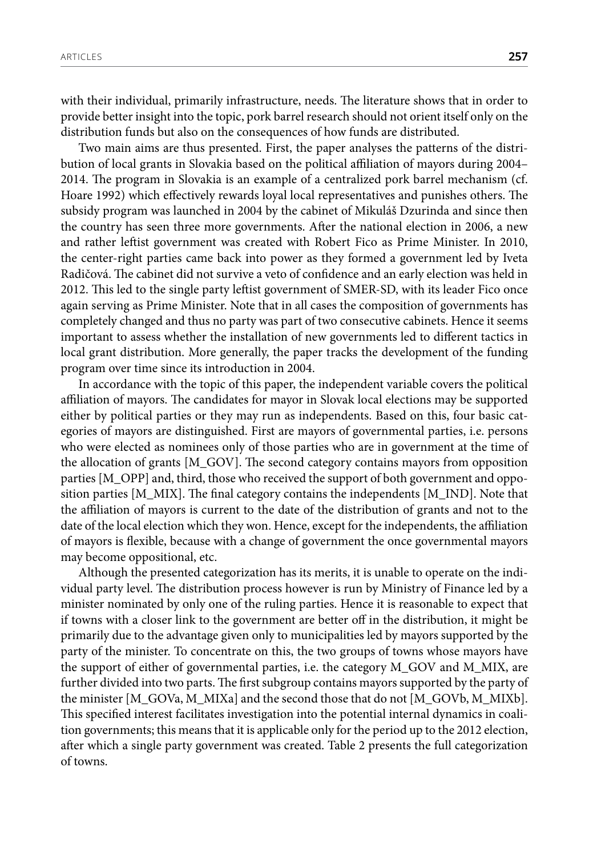with their individual, primarily infrastructure, needs. The literature shows that in order to

distribution funds but also on the consequences of how funds are distributed. Two main aims are thus presented. First, the paper analyses the patterns of the distribution of local grants in Slovakia based on the political affiliation of mayors during 2004– 2014. The program in Slovakia is an example of a centralized pork barrel mechanism (cf. Hoare 1992) which effectively rewards loyal local representatives and punishes others. The subsidy program was launched in 2004 by the cabinet of Mikuláš Dzurinda and since then the country has seen three more governments. After the national election in 2006, a new and rather leftist government was created with Robert Fico as Prime Minister. In 2010, the center-right parties came back into power as they formed a government led by Iveta Radičová. The cabinet did not survive a veto of confidence and an early election was held in 2012. This led to the single party leftist government of SMER-SD, with its leader Fico once again serving as Prime Minister. Note that in all cases the composition of governments has completely changed and thus no party was part of two consecutive cabinets. Hence it seems important to assess whether the installation of new governments led to different tactics in local grant distribution. More generally, the paper tracks the development of the funding program over time since its introduction in 2004.

provide better insight into the topic, pork barrel research should not orient itself only on the

In accordance with the topic of this paper, the independent variable covers the political affiliation of mayors. The candidates for mayor in Slovak local elections may be supported either by political parties or they may run as independents. Based on this, four basic categories of mayors are distinguished. First are mayors of governmental parties, i.e. persons who were elected as nominees only of those parties who are in government at the time of the allocation of grants [M\_GOV]. The second category contains mayors from opposition parties [M\_OPP] and, third, those who received the support of both government and opposition parties  $[M_MIX]$ . The final category contains the independents  $[M_NID]$ . Note that the affiliation of mayors is current to the date of the distribution of grants and not to the date of the local election which they won. Hence, except for the independents, the affiliation of mayors is flexible, because with a change of government the once governmental mayors may become oppositional, etc.

Although the presented categorization has its merits, it is unable to operate on the individual party level. The distribution process however is run by Ministry of Finance led by a minister nominated by only one of the ruling parties. Hence it is reasonable to expect that if towns with a closer link to the government are better off in the distribution, it might be primarily due to the advantage given only to municipalities led by mayors supported by the party of the minister. To concentrate on this, the two groups of towns whose mayors have the support of either of governmental parties, i.e. the category M\_GOV and M\_MIX, are further divided into two parts. The first subgroup contains mayors supported by the party of the minister [M\_GOVa, M\_MIXa] and the second those that do not [M\_GOVb, M\_MIXb]. This specified interest facilitates investigation into the potential internal dynamics in coalition governments; this means that it is applicable only for the period up to the 2012 election, after which a single party government was created. Table 2 presents the full categorization of towns.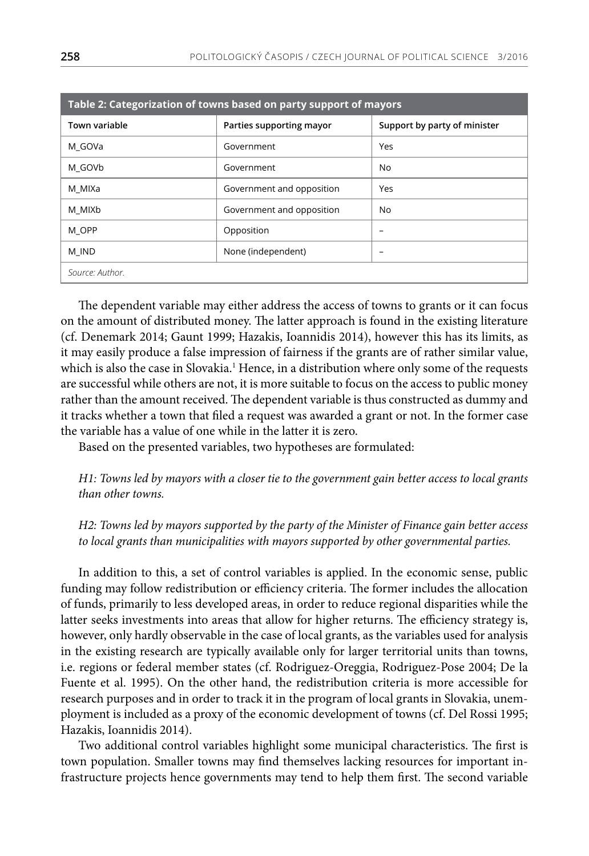| Table 2: Categorization of towns based on party support of mayors |                           |                              |  |  |  |  |
|-------------------------------------------------------------------|---------------------------|------------------------------|--|--|--|--|
| <b>Town variable</b>                                              | Parties supporting mayor  | Support by party of minister |  |  |  |  |
| M GOVa                                                            | Government                | Yes                          |  |  |  |  |
| M GOVb                                                            | Government                | No.                          |  |  |  |  |
| M MIXa                                                            | Government and opposition | Yes                          |  |  |  |  |
| M MIXb                                                            | Government and opposition | N <sub>o</sub>               |  |  |  |  |
| M OPP                                                             | Opposition                | $\overline{\phantom{0}}$     |  |  |  |  |
| M IND                                                             | None (independent)        |                              |  |  |  |  |
| Source: Author.                                                   |                           |                              |  |  |  |  |

The dependent variable may either address the access of towns to grants or it can focus on the amount of distributed money. The latter approach is found in the existing literature (cf. Denemark 2014; Gaunt 1999; Hazakis, Ioannidis 2014), however this has its limits, as it may easily produce a false impression of fairness if the grants are of rather similar value, which is also the case in Slovakia.<sup>1</sup> Hence, in a distribution where only some of the requests are successful while others are not, it is more suitable to focus on the access to public money rather than the amount received. The dependent variable is thus constructed as dummy and it tracks whether a town that filed a request was awarded a grant or not. In the former case the variable has a value of one while in the latter it is zero.

Based on the presented variables, two hypotheses are formulated:

*H1: Towns led by mayors with a closer tie to the government gain better access to local grants than other towns.*

*H2: Towns led by mayors supported by the party of the Minister of Finance gain better access to local grants than municipalities with mayors supported by other governmental parties.* 

In addition to this, a set of control variables is applied. In the economic sense, public funding may follow redistribution or efficiency criteria. The former includes the allocation of funds, primarily to less developed areas, in order to reduce regional disparities while the latter seeks investments into areas that allow for higher returns. The efficiency strategy is, however, only hardly observable in the case of local grants, as the variables used for analysis in the existing research are typically available only for larger territorial units than towns, i.e. regions or federal member states (cf. Rodriguez-Oreggia, Rodriguez-Pose 2004; De la Fuente et al. 1995). On the other hand, the redistribution criteria is more accessible for research purposes and in order to track it in the program of local grants in Slovakia, unemployment is included as a proxy of the economic development of towns (cf. Del Rossi 1995; Hazakis, Ioannidis 2014).

Two additional control variables highlight some municipal characteristics. The first is town population. Smaller towns may find themselves lacking resources for important infrastructure projects hence governments may tend to help them first. The second variable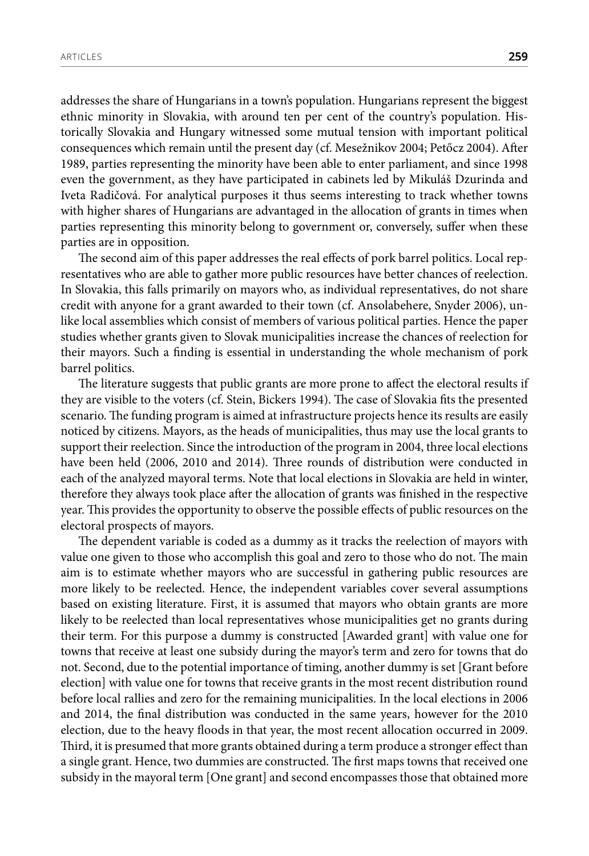addresses the share of Hungarians in a town's population. Hungarians represent the biggest ethnic minority in Slovakia, with around ten per cent of the country's population. Historically Slovakia and Hungary witnessed some mutual tension with important political consequences which remain until the present day (cf. Mesežnikov 2004; Petőcz 2004). After 1989, parties representing the minority have been able to enter parliament, and since 1998 even the government, as they have participated in cabinets led by Mikuláš Dzurinda and Iveta Radičová. For analytical purposes it thus seems interesting to track whether towns with higher shares of Hungarians are advantaged in the allocation of grants in times when parties representing this minority belong to government or, conversely, suffer when these parties are in opposition.

The second aim of this paper addresses the real effects of pork barrel politics. Local representatives who are able to gather more public resources have better chances of reelection. In Slovakia, this falls primarily on mayors who, as individual representatives, do not share credit with anyone for a grant awarded to their town (cf. Ansolabehere, Snyder 2006), unlike local assemblies which consist of members of various political parties. Hence the paper studies whether grants given to Slovak municipalities increase the chances of reelection for their mayors. Such a finding is essential in understanding the whole mechanism of pork barrel politics.

The literature suggests that public grants are more prone to affect the electoral results if they are visible to the voters (cf. Stein, Bickers 1994). The case of Slovakia fits the presented scenario. The funding program is aimed at infrastructure projects hence its results are easily noticed by citizens. Mayors, as the heads of municipalities, thus may use the local grants to support their reelection. Since the introduction of the program in 2004, three local elections have been held (2006, 2010 and 2014). Three rounds of distribution were conducted in each of the analyzed mayoral terms. Note that local elections in Slovakia are held in winter, therefore they always took place after the allocation of grants was finished in the respective year. This provides the opportunity to observe the possible effects of public resources on the electoral prospects of mayors.

The dependent variable is coded as a dummy as it tracks the reelection of mayors with value one given to those who accomplish this goal and zero to those who do not. The main aim is to estimate whether mayors who are successful in gathering public resources are more likely to be reelected. Hence, the independent variables cover several assumptions based on existing literature. First, it is assumed that mayors who obtain grants are more likely to be reelected than local representatives whose municipalities get no grants during their term. For this purpose a dummy is constructed [Awarded grant] with value one for towns that receive at least one subsidy during the mayor's term and zero for towns that do not. Second, due to the potential importance of timing, another dummy is set [Grant before election] with value one for towns that receive grants in the most recent distribution round before local rallies and zero for the remaining municipalities. In the local elections in 2006 and 2014, the final distribution was conducted in the same years, however for the 2010 election, due to the heavy floods in that year, the most recent allocation occurred in 2009. Third, it is presumed that more grants obtained during a term produce a stronger effect than a single grant. Hence, two dummies are constructed. The first maps towns that received one subsidy in the mayoral term [One grant] and second encompasses those that obtained more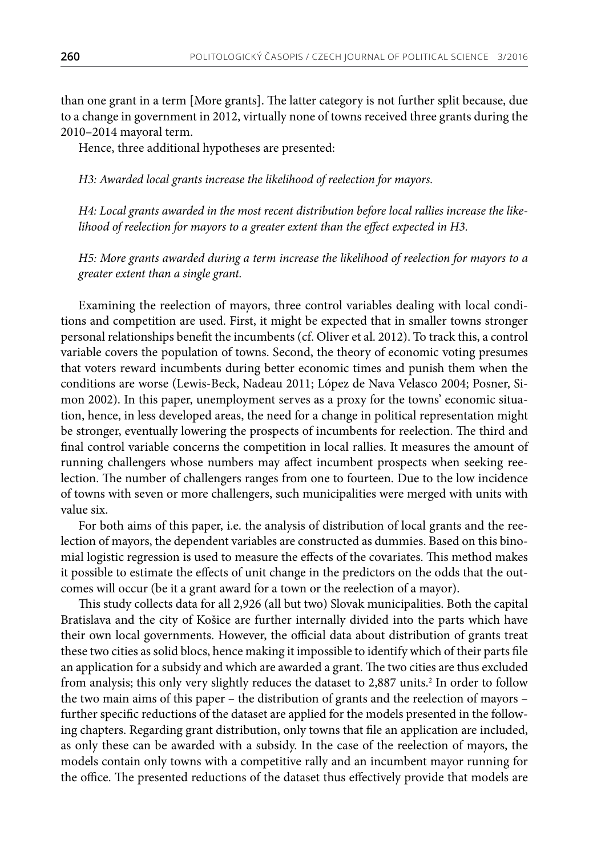than one grant in a term [More grants]. The latter category is not further split because, due to a change in government in 2012, virtually none of towns received three grants during the 2010–2014 mayoral term.

Hence, three additional hypotheses are presented:

*H3: Awarded local grants increase the likelihood of reelection for mayors.*

*H4: Local grants awarded in the most recent distribution before local rallies increase the likelihood of reelection for mayors to a greater extent than the effect expected in H3.*

*H5: More grants awarded during a term increase the likelihood of reelection for mayors to a greater extent than a single grant.*

Examining the reelection of mayors, three control variables dealing with local conditions and competition are used. First, it might be expected that in smaller towns stronger personal relationships benefit the incumbents (cf. Oliver et al. 2012). To track this, a control variable covers the population of towns. Second, the theory of economic voting presumes that voters reward incumbents during better economic times and punish them when the conditions are worse (Lewis-Beck, Nadeau 2011; López de Nava Velasco 2004; Posner, Simon 2002). In this paper, unemployment serves as a proxy for the towns' economic situation, hence, in less developed areas, the need for a change in political representation might be stronger, eventually lowering the prospects of incumbents for reelection. The third and final control variable concerns the competition in local rallies. It measures the amount of running challengers whose numbers may affect incumbent prospects when seeking reelection. The number of challengers ranges from one to fourteen. Due to the low incidence of towns with seven or more challengers, such municipalities were merged with units with value six.

For both aims of this paper, i.e. the analysis of distribution of local grants and the reelection of mayors, the dependent variables are constructed as dummies. Based on this binomial logistic regression is used to measure the effects of the covariates. This method makes it possible to estimate the effects of unit change in the predictors on the odds that the outcomes will occur (be it a grant award for a town or the reelection of a mayor).

This study collects data for all 2,926 (all but two) Slovak municipalities. Both the capital Bratislava and the city of Košice are further internally divided into the parts which have their own local governments. However, the official data about distribution of grants treat these two cities as solid blocs, hence making it impossible to identify which of their parts file an application for a subsidy and which are awarded a grant. The two cities are thus excluded from analysis; this only very slightly reduces the dataset to 2,887 units.<sup>2</sup> In order to follow the two main aims of this paper – the distribution of grants and the reelection of mayors – further specific reductions of the dataset are applied for the models presented in the following chapters. Regarding grant distribution, only towns that file an application are included, as only these can be awarded with a subsidy. In the case of the reelection of mayors, the models contain only towns with a competitive rally and an incumbent mayor running for the office. The presented reductions of the dataset thus effectively provide that models are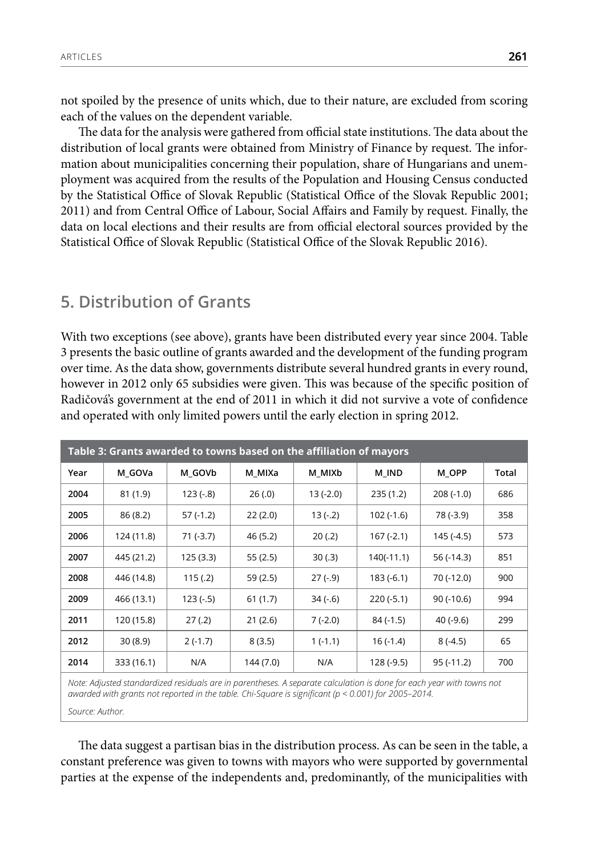not spoiled by the presence of units which, due to their nature, are excluded from scoring each of the values on the dependent variable.

The data for the analysis were gathered from official state institutions. The data about the distribution of local grants were obtained from Ministry of Finance by request. The information about municipalities concerning their population, share of Hungarians and unemployment was acquired from the results of the Population and Housing Census conducted by the Statistical Office of Slovak Republic (Statistical Office of the Slovak Republic 2001; 2011) and from Central Office of Labour, Social Affairs and Family by request. Finally, the data on local elections and their results are from official electoral sources provided by the Statistical Office of Slovak Republic (Statistical Office of the Slovak Republic 2016).

#### **5. Distribution of Grants**

With two exceptions (see above), grants have been distributed every year since 2004. Table 3 presents the basic outline of grants awarded and the development of the funding program over time. As the data show, governments distribute several hundred grants in every round, however in 2012 only 65 subsidies were given. This was because of the specific position of Radičová's government at the end of 2011 in which it did not survive a vote of confidence and operated with only limited powers until the early election in spring 2012.

| Table 3: Grants awarded to towns based on the affiliation of mayors |            |            |           |           |              |             |       |
|---------------------------------------------------------------------|------------|------------|-----------|-----------|--------------|-------------|-------|
| Year                                                                | M GOVa     | M GOVb     | M MIXa    | M MIXb    | M IND        | M OPP       | Total |
| 2004                                                                | 81(1.9)    | $123(-.8)$ | 26(.0)    | 13 (-2.0) | 235(1.2)     | $208(-1.0)$ | 686   |
| 2005                                                                | 86(8.2)    | $57(-1.2)$ | 22(2.0)   | $13(-.2)$ | $102(-1.6)$  | 78 (-3.9)   | 358   |
| 2006                                                                | 124 (11.8) | $71(-3.7)$ | 46 (5.2)  | 20(.2)    | $167(-2.1)$  | 145 (-4.5)  | 573   |
| 2007                                                                | 445 (21.2) | 125 (3.3)  | 55(2.5)   | 30(.3)    | $140(-11.1)$ | $56(-14.3)$ | 851   |
| 2008                                                                | 446 (14.8) | 115(.2)    | 59 (2.5)  | $27(-9)$  | $183(-6.1)$  | 70 (-12.0)  | 900   |
| 2009                                                                | 466 (13.1) | $123(-.5)$ | 61(1.7)   | $34(-6)$  | $220(-5.1)$  | $90(-10.6)$ | 994   |
| 2011                                                                | 120 (15.8) | 27(.2)     | 21(2.6)   | $7(-2.0)$ | $84(-1.5)$   | $40(-9.6)$  | 299   |
| 2012                                                                | 30(8.9)    | $2(-1.7)$  | 8(3.5)    | $1(-1.1)$ | $16(-1.4)$   | $8(-4.5)$   | 65    |
| 2014                                                                | 333 (16.1) | N/A        | 144 (7.0) | N/A       | 128 (-9.5)   | $95(-11.2)$ | 700   |

*Note: Adjusted standardized residuals are in parentheses. A separate calculation is done for each year with towns not awarded with grants not reported in the table. Chi-Square is significant (p < 0.001) for 2005–2014.*

*Source: Author.*

The data suggest a partisan bias in the distribution process. As can be seen in the table, a constant preference was given to towns with mayors who were supported by governmental parties at the expense of the independents and, predominantly, of the municipalities with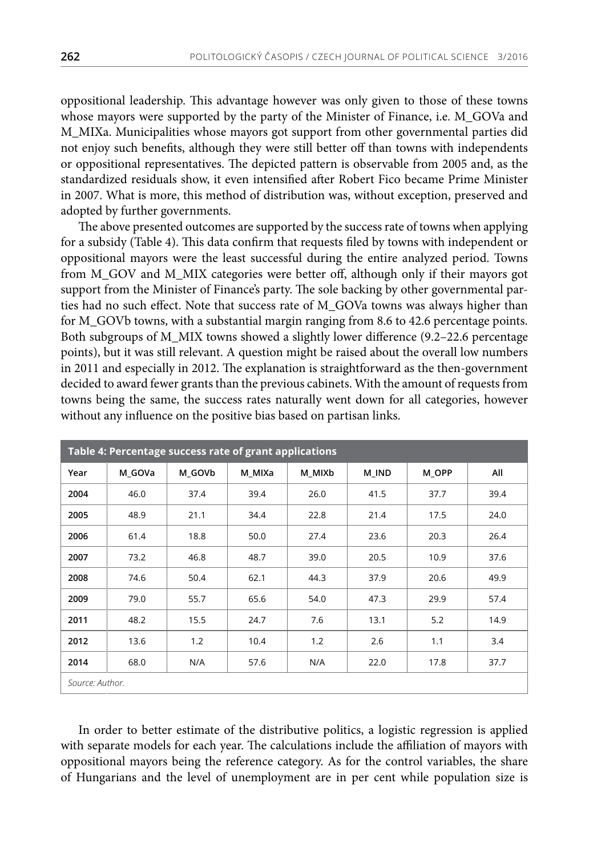oppositional leadership. This advantage however was only given to those of these towns whose mayors were supported by the party of the Minister of Finance, i.e. M\_GOVa and M\_MIXa. Municipalities whose mayors got support from other governmental parties did not enjoy such benefits, although they were still better off than towns with independents or oppositional representatives. The depicted pattern is observable from 2005 and, as the standardized residuals show, it even intensified after Robert Fico became Prime Minister in 2007. What is more, this method of distribution was, without exception, preserved and adopted by further governments.

The above presented outcomes are supported by the success rate of towns when applying for a subsidy (Table 4). This data confirm that requests filed by towns with independent or oppositional mayors were the least successful during the entire analyzed period. Towns from M\_GOV and M\_MIX categories were better off, although only if their mayors got support from the Minister of Finance's party. The sole backing by other governmental parties had no such effect. Note that success rate of M\_GOVa towns was always higher than for M\_GOVb towns, with a substantial margin ranging from 8.6 to 42.6 percentage points. Both subgroups of M\_MIX towns showed a slightly lower difference (9.2–22.6 percentage points), but it was still relevant. A question might be raised about the overall low numbers in 2011 and especially in 2012. The explanation is straightforward as the then-government decided to award fewer grants than the previous cabinets. With the amount of requests from towns being the same, the success rates naturally went down for all categories, however without any influence on the positive bias based on partisan links.

| Table 4: Percentage success rate of grant applications |        |        |        |        |       |       |      |
|--------------------------------------------------------|--------|--------|--------|--------|-------|-------|------|
| Year                                                   | M GOVa | M GOVb | M MIXa | M MIXb | M IND | M OPP | All  |
| 2004                                                   | 46.0   | 37.4   | 39.4   | 26.0   | 41.5  | 37.7  | 39.4 |
| 2005                                                   | 48.9   | 21.1   | 34.4   | 22.8   | 21.4  | 17.5  | 24.0 |
| 2006                                                   | 61.4   | 18.8   | 50.0   | 27.4   | 23.6  | 20.3  | 26.4 |
| 2007                                                   | 73.2   | 46.8   | 48.7   | 39.0   | 20.5  | 10.9  | 37.6 |
| 2008                                                   | 74.6   | 50.4   | 62.1   | 44.3   | 37.9  | 20.6  | 49.9 |
| 2009                                                   | 79.0   | 55.7   | 65.6   | 54.0   | 47.3  | 29.9  | 57.4 |
| 2011                                                   | 48.2   | 15.5   | 24.7   | 7.6    | 13.1  | 5.2   | 14.9 |
| 2012                                                   | 13.6   | 1.2    | 10.4   | 1.2    | 2.6   | 1.1   | 3.4  |
| 2014                                                   | 68.0   | N/A    | 57.6   | N/A    | 22.0  | 17.8  | 37.7 |
| Source: Author.                                        |        |        |        |        |       |       |      |

In order to better estimate of the distributive politics, a logistic regression is applied with separate models for each year. The calculations include the affiliation of mayors with oppositional mayors being the reference category. As for the control variables, the share of Hungarians and the level of unemployment are in per cent while population size is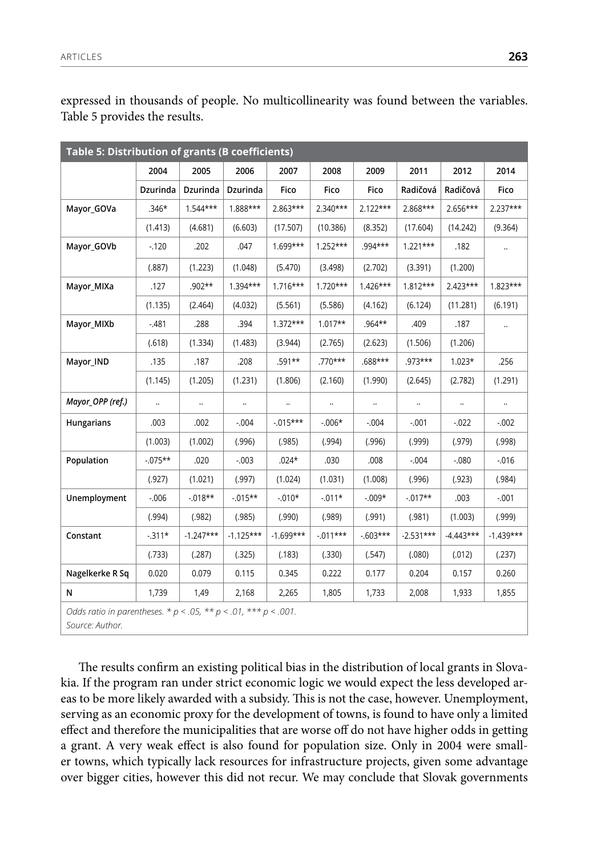expressed in thousands of people. No multicollinearity was found between the variables. Table 5 provides the results.

| Table 5: Distribution of grants (B coefficients)                                            |            |              |             |             |              |            |             |             |             |
|---------------------------------------------------------------------------------------------|------------|--------------|-------------|-------------|--------------|------------|-------------|-------------|-------------|
|                                                                                             | 2004       | 2005         | 2006        | 2007        | 2008         | 2009       | 2011        | 2012        | 2014        |
|                                                                                             | Dzurinda   | Dzurinda     | Dzurinda    | Fico        | Fico         | Fico       | Radičová    | Radičová    | Fico        |
| Mayor_GOVa                                                                                  | $.346*$    | $1.544***$   | 1.888***    | 2.863***    | 2.340***     | $2.122***$ | 2.868***    | 2.656***    | 2.237***    |
|                                                                                             | (1.413)    | (4.681)      | (6.603)     | (17.507)    | (10.386)     | (8.352)    | (17.604)    | (14.242)    | (9.364)     |
| Mayor_GOVb                                                                                  | $-120$     | .202         | .047        | 1.699***    | $1.252***$   | .994***    | $1.221***$  | .182        |             |
|                                                                                             | (.887)     | (1.223)      | (1.048)     | (5.470)     | (3.498)      | (2.702)    | (3.391)     | (1.200)     |             |
| Mayor_MIXa                                                                                  | .127       | $.902**$     | $1.394***$  | $1.716***$  | $1.720***$   | $1.426***$ | $1.812***$  | $2.423***$  | $1.823***$  |
|                                                                                             | (1.135)    | (2.464)      | (4.032)     | (5.561)     | (5.586)      | (4.162)    | (6.124)     | (11.281)    | (6.191)     |
| Mayor_MIXb                                                                                  | $-481$     | .288         | .394        | $1.372***$  | $1.017**$    | .964**     | .409        | .187        | $\ldots$    |
|                                                                                             | (.618)     | (1.334)      | (1.483)     | (3.944)     | (2.765)      | (2.623)    | (1.506)     | (1.206)     |             |
| Mayor_IND                                                                                   | .135       | .187         | .208        | .591**      | $.770***$    | .688***    | .973***     | $1.023*$    | .256        |
|                                                                                             | (1.145)    | (1.205)      | (1.231)     | (1.806)     | (2.160)      | (1.990)    | (2.645)     | (2.782)     | (1.291)     |
| Mayor_OPP (ref.)                                                                            | $\ldots$   | $\cdot\cdot$ | $\ldots$    | $\ldots$    | $\cdot\cdot$ | $\ldots$   | $\ldots$    | $\ldots$    |             |
| Hungarians                                                                                  | .003       | .002         | $-.004$     | $-0.015***$ | $-0.006*$    | $-.004$    | $-.001$     | $-0.022$    | $-0.002$    |
|                                                                                             | (1.003)    | (1.002)      | (.996)      | (.985)      | (.994)       | (.996)     | (.999)      | (.979)      | (.998)      |
| Population                                                                                  | $-0.075**$ | .020         | $-0.003$    | $.024*$     | .030         | .008       | $-.004$     | $-080$      | $-0.016$    |
|                                                                                             | (.927)     | (1.021)      | (.997)      | (1.024)     | (1.031)      | (1.008)    | (.996)      | (.923)      | (.984)      |
| Unemployment                                                                                | $-0.006$   | $-0.018**$   | $-0.015**$  | $-0.010*$   | $-.011*$     | $-0.009*$  | $-0.017**$  | .003        | $-.001$     |
|                                                                                             | (.994)     | (.982)       | (.985)      | (.990)      | (.989)       | (.991)     | (.981)      | (1.003)     | (.999)      |
| Constant                                                                                    | $-311*$    | $-1.247***$  | $-1.125***$ | $-1.699***$ | $-.011***$   | $-603***$  | $-2.531***$ | $-4.443***$ | $-1.439***$ |
|                                                                                             | (.733)     | (.287)       | (.325)      | (.183)      | (.330)       | (.547)     | (.080)      | (.012)      | (.237)      |
| Nagelkerke R Sq                                                                             | 0.020      | 0.079        | 0.115       | 0.345       | 0.222        | 0.177      | 0.204       | 0.157       | 0.260       |
| N                                                                                           | 1,739      | 1,49         | 2,168       | 2,265       | 1,805        | 1,733      | 2,008       | 1,933       | 1,855       |
| Odds ratio in parentheses. * $p < .05$ , ** $p < .01$ , *** $p < .001$ .<br>Source: Author. |            |              |             |             |              |            |             |             |             |

The results confirm an existing political bias in the distribution of local grants in Slovakia. If the program ran under strict economic logic we would expect the less developed areas to be more likely awarded with a subsidy. This is not the case, however. Unemployment, serving as an economic proxy for the development of towns, is found to have only a limited effect and therefore the municipalities that are worse off do not have higher odds in getting a grant. A very weak effect is also found for population size. Only in 2004 were smaller towns, which typically lack resources for infrastructure projects, given some advantage over bigger cities, however this did not recur. We may conclude that Slovak governments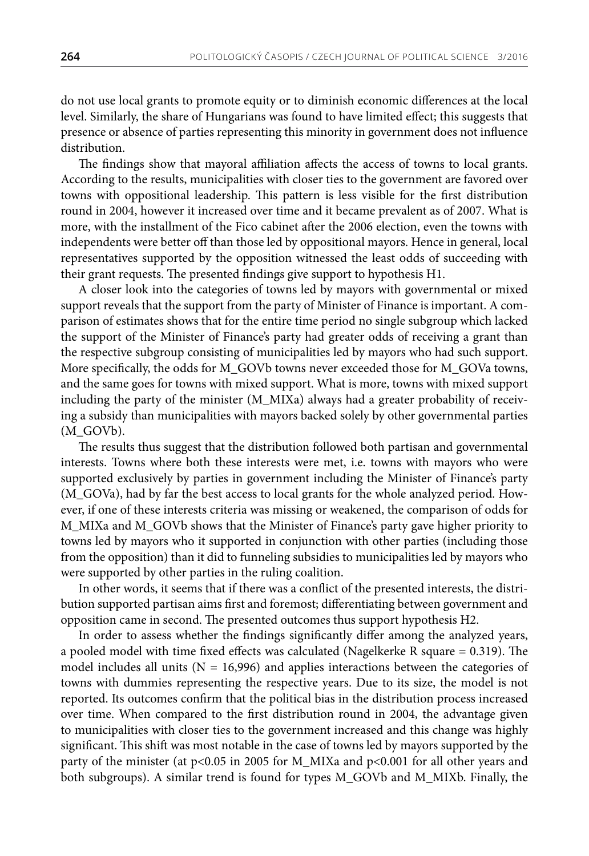do not use local grants to promote equity or to diminish economic differences at the local level. Similarly, the share of Hungarians was found to have limited effect; this suggests that presence or absence of parties representing this minority in government does not influence distribution.

The findings show that mayoral affiliation affects the access of towns to local grants. According to the results, municipalities with closer ties to the government are favored over towns with oppositional leadership. This pattern is less visible for the first distribution round in 2004, however it increased over time and it became prevalent as of 2007. What is more, with the installment of the Fico cabinet after the 2006 election, even the towns with independents were better off than those led by oppositional mayors. Hence in general, local representatives supported by the opposition witnessed the least odds of succeeding with their grant requests. The presented findings give support to hypothesis H1.

A closer look into the categories of towns led by mayors with governmental or mixed support reveals that the support from the party of Minister of Finance is important. A comparison of estimates shows that for the entire time period no single subgroup which lacked the support of the Minister of Finance's party had greater odds of receiving a grant than the respective subgroup consisting of municipalities led by mayors who had such support. More specifically, the odds for M\_GOVb towns never exceeded those for M\_GOVa towns, and the same goes for towns with mixed support. What is more, towns with mixed support including the party of the minister (M\_MIXa) always had a greater probability of receiving a subsidy than municipalities with mayors backed solely by other governmental parties (M\_GOVb).

The results thus suggest that the distribution followed both partisan and governmental interests. Towns where both these interests were met, i.e. towns with mayors who were supported exclusively by parties in government including the Minister of Finance's party (M\_GOVa), had by far the best access to local grants for the whole analyzed period. However, if one of these interests criteria was missing or weakened, the comparison of odds for M\_MIXa and M\_GOVb shows that the Minister of Finance's party gave higher priority to towns led by mayors who it supported in conjunction with other parties (including those from the opposition) than it did to funneling subsidies to municipalities led by mayors who were supported by other parties in the ruling coalition.

In other words, it seems that if there was a conflict of the presented interests, the distribution supported partisan aims first and foremost; differentiating between government and opposition came in second. The presented outcomes thus support hypothesis H2.

In order to assess whether the findings significantly differ among the analyzed years, a pooled model with time fixed effects was calculated (Nagelkerke R square  $= 0.319$ ). The model includes all units ( $N = 16,996$ ) and applies interactions between the categories of towns with dummies representing the respective years. Due to its size, the model is not reported. Its outcomes confirm that the political bias in the distribution process increased over time. When compared to the first distribution round in 2004, the advantage given to municipalities with closer ties to the government increased and this change was highly significant. This shift was most notable in the case of towns led by mayors supported by the party of the minister (at p<0.05 in 2005 for M\_MIXa and p<0.001 for all other years and both subgroups). A similar trend is found for types M\_GOVb and M\_MIXb. Finally, the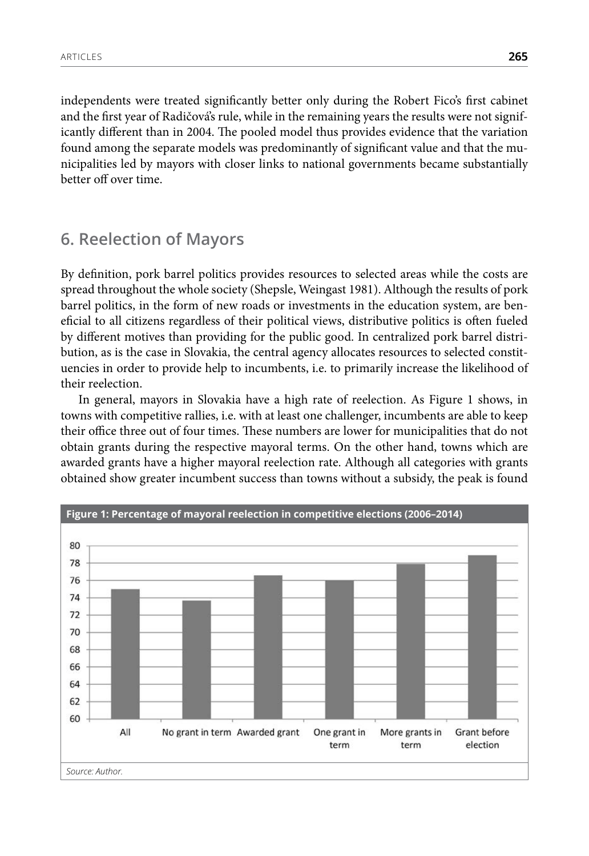independents were treated significantly better only during the Robert Fico's first cabinet and the first year of Radičová's rule, while in the remaining years the results were not significantly different than in 2004. The pooled model thus provides evidence that the variation found among the separate models was predominantly of significant value and that the municipalities led by mayors with closer links to national governments became substantially better off over time.

#### **6. Reelection of Mayors**

By definition, pork barrel politics provides resources to selected areas while the costs are spread throughout the whole society (Shepsle, Weingast 1981). Although the results of pork barrel politics, in the form of new roads or investments in the education system, are beneficial to all citizens regardless of their political views, distributive politics is often fueled by different motives than providing for the public good. In centralized pork barrel distribution, as is the case in Slovakia, the central agency allocates resources to selected constituencies in order to provide help to incumbents, i.e. to primarily increase the likelihood of their reelection.

In general, mayors in Slovakia have a high rate of reelection. As Figure 1 shows, in towns with competitive rallies, i.e. with at least one challenger, incumbents are able to keep their office three out of four times. These numbers are lower for municipalities that do not obtain grants during the respective mayoral terms. On the other hand, towns which are awarded grants have a higher mayoral reelection rate. Although all categories with grants obtained show greater incumbent success than towns without a subsidy, the peak is found

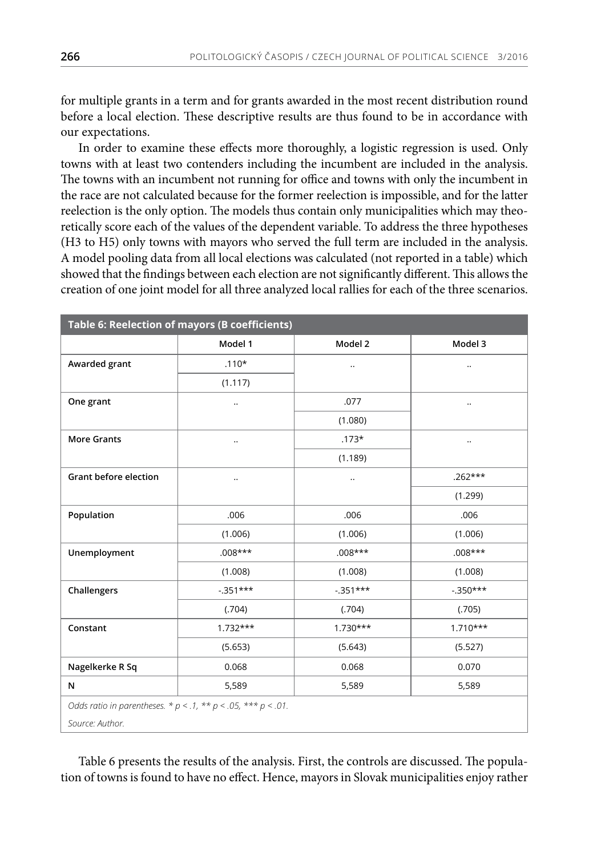for multiple grants in a term and for grants awarded in the most recent distribution round before a local election. These descriptive results are thus found to be in accordance with our expectations.

In order to examine these effects more thoroughly, a logistic regression is used. Only towns with at least two contenders including the incumbent are included in the analysis. The towns with an incumbent not running for office and towns with only the incumbent in the race are not calculated because for the former reelection is impossible, and for the latter reelection is the only option. The models thus contain only municipalities which may theoretically score each of the values of the dependent variable. To address the three hypotheses (H3 to H5) only towns with mayors who served the full term are included in the analysis. A model pooling data from all local elections was calculated (not reported in a table) which showed that the findings between each election are not significantly different. This allows the creation of one joint model for all three analyzed local rallies for each of the three scenarios.

| Table 6: Reelection of mayors (B coefficients)                         |            |            |              |  |  |  |
|------------------------------------------------------------------------|------------|------------|--------------|--|--|--|
|                                                                        | Model 1    | Model 2    | Model 3      |  |  |  |
| Awarded grant                                                          | $.110*$    | $\cdot$ .  | $\ldots$     |  |  |  |
|                                                                        | (1.117)    |            |              |  |  |  |
| One grant                                                              | $\ldots$   | .077       | $\cdot\cdot$ |  |  |  |
|                                                                        |            | (1.080)    |              |  |  |  |
| <b>More Grants</b>                                                     | $\ldots$   | $.173*$    | $\ldots$     |  |  |  |
|                                                                        |            | (1.189)    |              |  |  |  |
| Grant before election                                                  | $\ldots$   |            | $.262***$    |  |  |  |
|                                                                        |            |            | (1.299)      |  |  |  |
| Population                                                             | .006       | .006       | .006         |  |  |  |
|                                                                        | (1.006)    | (1.006)    | (1.006)      |  |  |  |
| Unemployment                                                           | $.008***$  | $.008***$  | $.008***$    |  |  |  |
|                                                                        | (1.008)    | (1.008)    | (1.008)      |  |  |  |
| Challengers                                                            | $-351***$  | $-351***$  | $-0.350***$  |  |  |  |
|                                                                        | (.704)     | (.704)     | (.705)       |  |  |  |
| Constant                                                               | $1.732***$ | $1.730***$ | $1.710***$   |  |  |  |
|                                                                        | (5.653)    | (5.643)    | (5.527)      |  |  |  |
| Nagelkerke R Sq                                                        | 0.068      | 0.068      | 0.070        |  |  |  |
| N                                                                      | 5,589      | 5,589      | 5,589        |  |  |  |
| Odds ratio in parentheses. * $p < .1$ , ** $p < .05$ , *** $p < .01$ . |            |            |              |  |  |  |
| Source: Author.                                                        |            |            |              |  |  |  |

Table 6 presents the results of the analysis. First, the controls are discussed. The population of towns is found to have no effect. Hence, mayors in Slovak municipalities enjoy rather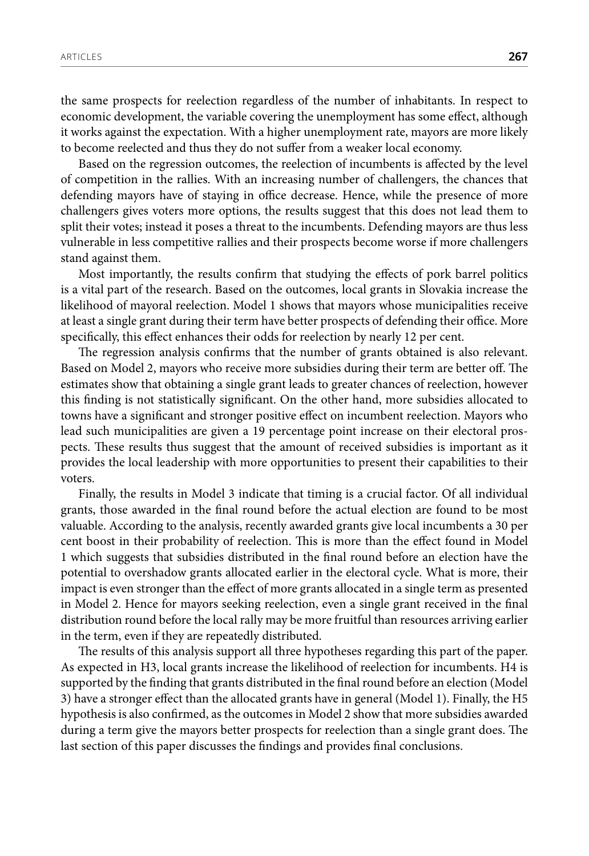the same prospects for reelection regardless of the number of inhabitants. In respect to economic development, the variable covering the unemployment has some effect, although it works against the expectation. With a higher unemployment rate, mayors are more likely to become reelected and thus they do not suffer from a weaker local economy.

Based on the regression outcomes, the reelection of incumbents is affected by the level of competition in the rallies. With an increasing number of challengers, the chances that defending mayors have of staying in office decrease. Hence, while the presence of more challengers gives voters more options, the results suggest that this does not lead them to split their votes; instead it poses a threat to the incumbents. Defending mayors are thus less vulnerable in less competitive rallies and their prospects become worse if more challengers stand against them.

Most importantly, the results confirm that studying the effects of pork barrel politics is a vital part of the research. Based on the outcomes, local grants in Slovakia increase the likelihood of mayoral reelection. Model 1 shows that mayors whose municipalities receive at least a single grant during their term have better prospects of defending their office. More specifically, this effect enhances their odds for reelection by nearly 12 per cent.

The regression analysis confirms that the number of grants obtained is also relevant. Based on Model 2, mayors who receive more subsidies during their term are better off. The estimates show that obtaining a single grant leads to greater chances of reelection, however this finding is not statistically significant. On the other hand, more subsidies allocated to towns have a significant and stronger positive effect on incumbent reelection. Mayors who lead such municipalities are given a 19 percentage point increase on their electoral prospects. These results thus suggest that the amount of received subsidies is important as it provides the local leadership with more opportunities to present their capabilities to their voters.

Finally, the results in Model 3 indicate that timing is a crucial factor. Of all individual grants, those awarded in the final round before the actual election are found to be most valuable. According to the analysis, recently awarded grants give local incumbents a 30 per cent boost in their probability of reelection. This is more than the effect found in Model 1 which suggests that subsidies distributed in the final round before an election have the potential to overshadow grants allocated earlier in the electoral cycle. What is more, their impact is even stronger than the effect of more grants allocated in a single term as presented in Model 2. Hence for mayors seeking reelection, even a single grant received in the final distribution round before the local rally may be more fruitful than resources arriving earlier in the term, even if they are repeatedly distributed.

The results of this analysis support all three hypotheses regarding this part of the paper. As expected in H3, local grants increase the likelihood of reelection for incumbents. H4 is supported by the finding that grants distributed in the final round before an election (Model 3) have a stronger effect than the allocated grants have in general (Model 1). Finally, the H5 hypothesis is also confirmed, as the outcomes in Model 2 show that more subsidies awarded during a term give the mayors better prospects for reelection than a single grant does. The last section of this paper discusses the findings and provides final conclusions.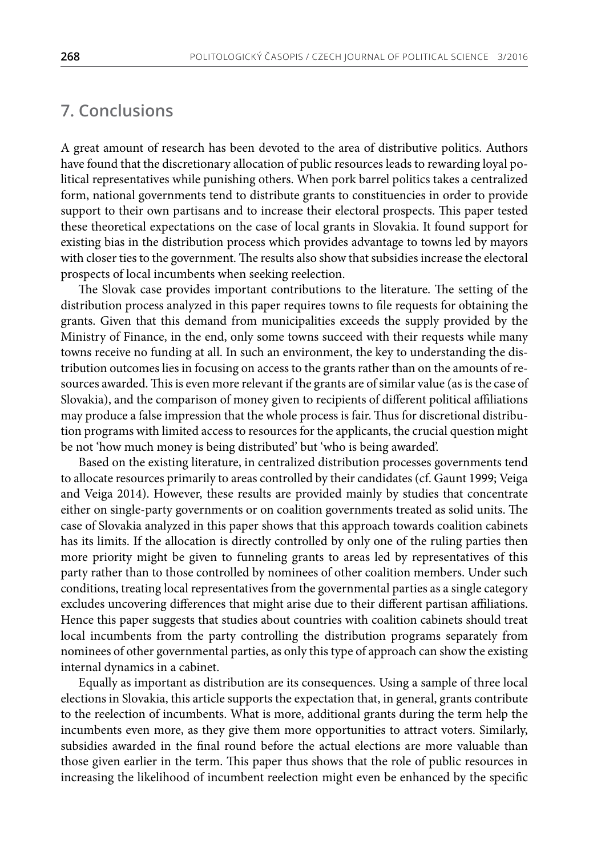## **7. Conclusions**

A great amount of research has been devoted to the area of distributive politics. Authors have found that the discretionary allocation of public resources leads to rewarding loyal political representatives while punishing others. When pork barrel politics takes a centralized form, national governments tend to distribute grants to constituencies in order to provide support to their own partisans and to increase their electoral prospects. This paper tested these theoretical expectations on the case of local grants in Slovakia. It found support for existing bias in the distribution process which provides advantage to towns led by mayors with closer ties to the government. The results also show that subsidies increase the electoral prospects of local incumbents when seeking reelection.

The Slovak case provides important contributions to the literature. The setting of the distribution process analyzed in this paper requires towns to file requests for obtaining the grants. Given that this demand from municipalities exceeds the supply provided by the Ministry of Finance, in the end, only some towns succeed with their requests while many towns receive no funding at all. In such an environment, the key to understanding the distribution outcomes lies in focusing on access to the grants rather than on the amounts of resources awarded. This is even more relevant if the grants are of similar value (as is the case of Slovakia), and the comparison of money given to recipients of different political affiliations may produce a false impression that the whole process is fair. Thus for discretional distribution programs with limited access to resources for the applicants, the crucial question might be not 'how much money is being distributed' but 'who is being awarded'.

Based on the existing literature, in centralized distribution processes governments tend to allocate resources primarily to areas controlled by their candidates (cf. Gaunt 1999; Veiga and Veiga 2014). However, these results are provided mainly by studies that concentrate either on single-party governments or on coalition governments treated as solid units. The case of Slovakia analyzed in this paper shows that this approach towards coalition cabinets has its limits. If the allocation is directly controlled by only one of the ruling parties then more priority might be given to funneling grants to areas led by representatives of this party rather than to those controlled by nominees of other coalition members. Under such conditions, treating local representatives from the governmental parties as a single category excludes uncovering differences that might arise due to their different partisan affiliations. Hence this paper suggests that studies about countries with coalition cabinets should treat local incumbents from the party controlling the distribution programs separately from nominees of other governmental parties, as only this type of approach can show the existing internal dynamics in a cabinet.

Equally as important as distribution are its consequences. Using a sample of three local elections in Slovakia, this article supports the expectation that, in general, grants contribute to the reelection of incumbents. What is more, additional grants during the term help the incumbents even more, as they give them more opportunities to attract voters. Similarly, subsidies awarded in the final round before the actual elections are more valuable than those given earlier in the term. This paper thus shows that the role of public resources in increasing the likelihood of incumbent reelection might even be enhanced by the specific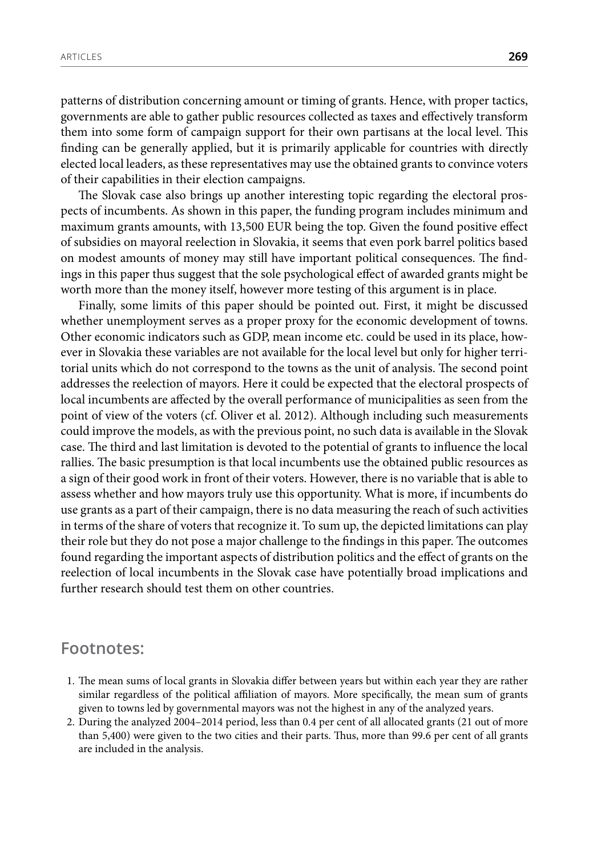patterns of distribution concerning amount or timing of grants. Hence, with proper tactics, governments are able to gather public resources collected as taxes and effectively transform them into some form of campaign support for their own partisans at the local level. This finding can be generally applied, but it is primarily applicable for countries with directly elected local leaders, as these representatives may use the obtained grants to convince voters of their capabilities in their election campaigns.

The Slovak case also brings up another interesting topic regarding the electoral prospects of incumbents. As shown in this paper, the funding program includes minimum and maximum grants amounts, with 13,500 EUR being the top. Given the found positive effect of subsidies on mayoral reelection in Slovakia, it seems that even pork barrel politics based on modest amounts of money may still have important political consequences. The findings in this paper thus suggest that the sole psychological effect of awarded grants might be worth more than the money itself, however more testing of this argument is in place.

Finally, some limits of this paper should be pointed out. First, it might be discussed whether unemployment serves as a proper proxy for the economic development of towns. Other economic indicators such as GDP, mean income etc. could be used in its place, however in Slovakia these variables are not available for the local level but only for higher territorial units which do not correspond to the towns as the unit of analysis. The second point addresses the reelection of mayors. Here it could be expected that the electoral prospects of local incumbents are affected by the overall performance of municipalities as seen from the point of view of the voters (cf. Oliver et al. 2012). Although including such measurements could improve the models, as with the previous point, no such data is available in the Slovak case. The third and last limitation is devoted to the potential of grants to influence the local rallies. The basic presumption is that local incumbents use the obtained public resources as a sign of their good work in front of their voters. However, there is no variable that is able to assess whether and how mayors truly use this opportunity. What is more, if incumbents do use grants as a part of their campaign, there is no data measuring the reach of such activities in terms of the share of voters that recognize it. To sum up, the depicted limitations can play their role but they do not pose a major challenge to the findings in this paper. The outcomes found regarding the important aspects of distribution politics and the effect of grants on the reelection of local incumbents in the Slovak case have potentially broad implications and further research should test them on other countries.

#### **Footnotes:**

- 1. The mean sums of local grants in Slovakia differ between years but within each year they are rather similar regardless of the political affiliation of mayors. More specifically, the mean sum of grants given to towns led by governmental mayors was not the highest in any of the analyzed years.
- 2. During the analyzed 2004–2014 period, less than 0.4 per cent of all allocated grants (21 out of more than 5,400) were given to the two cities and their parts. Thus, more than 99.6 per cent of all grants are included in the analysis.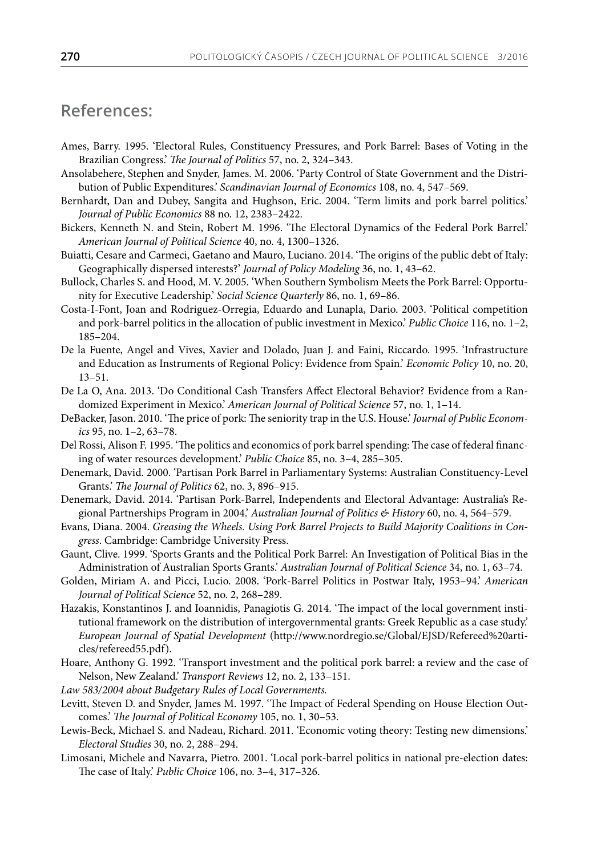### **References:**

- Ames, Barry. 1995. 'Electoral Rules, Constituency Pressures, and Pork Barrel: Bases of Voting in the Brazilian Congress.' *The Journal of Politics* 57, no. 2, 324–343.
- Ansolabehere, Stephen and Snyder, James. M. 2006. 'Party Control of State Government and the Distribution of Public Expenditures.' *Scandinavian Journal of Economics* 108, no. 4, 547–569.
- Bernhardt, Dan and Dubey, Sangita and Hughson, Eric. 2004. 'Term limits and pork barrel politics.' *Journal of Public Economics* 88 no. 12, 2383–2422.
- Bickers, Kenneth N. and Stein, Robert M. 1996. 'The Electoral Dynamics of the Federal Pork Barrel.' *American Journal of Political Science* 40, no. 4, 1300–1326.
- Buiatti, Cesare and Carmeci, Gaetano and Mauro, Luciano. 2014. 'The origins of the public debt of Italy: Geographically dispersed interests?' *Journal of Policy Modeling* 36, no. 1, 43–62.
- Bullock, Charles S. and Hood, M. V. 2005. 'When Southern Symbolism Meets the Pork Barrel: Opportunity for Executive Leadership.' *Social Science Quarterly* 86, no. 1, 69–86.
- Costa-I-Font, Joan and Rodriguez-Orregia, Eduardo and Lunapla, Dario. 2003. 'Political competition and pork-barrel politics in the allocation of public investment in Mexico.' *Public Choice* 116, no. 1–2, 185–204.
- De la Fuente, Angel and Vives, Xavier and Dolado, Juan J. and Faini, Riccardo. 1995. 'Infrastructure and Education as Instruments of Regional Policy: Evidence from Spain.' *Economic Policy* 10, no. 20, 13–51.
- De La O, Ana. 2013. 'Do Conditional Cash Transfers Affect Electoral Behavior? Evidence from a Randomized Experiment in Mexico.' *American Journal of Political Science* 57, no. 1, 1–14.
- DeBacker, Jason. 2010. 'The price of pork: The seniority trap in the U.S. House.' *Journal of Public Economics* 95, no. 1–2, 63–78.
- Del Rossi, Alison F. 1995. 'The politics and economics of pork barrel spending: The case of federal financing of water resources development.' *Public Choice* 85, no. 3–4, 285–305.
- Denemark, David. 2000. 'Partisan Pork Barrel in Parliamentary Systems: Australian Constituency-Level Grants.' *The Journal of Politics* 62, no. 3, 896–915.
- Denemark, David. 2014. 'Partisan Pork-Barrel, Independents and Electoral Advantage: Australia's Regional Partnerships Program in 2004.' *Australian Journal of Politics & History* 60, no. 4, 564–579.
- Evans, Diana. 2004. *Greasing the Wheels. Using Pork Barrel Projects to Build Majority Coalitions in Congress*. Cambridge: Cambridge University Press.
- Gaunt, Clive. 1999. 'Sports Grants and the Political Pork Barrel: An Investigation of Political Bias in the Administration of Australian Sports Grants.' *Australian Journal of Political Science* 34, no. 1, 63–74.
- Golden, Miriam A. and Picci, Lucio. 2008. 'Pork-Barrel Politics in Postwar Italy, 1953–94.' *American Journal of Political Science* 52, no. 2, 268–289.
- Hazakis, Konstantinos J. and Ioannidis, Panagiotis G. 2014. 'The impact of the local government institutional framework on the distribution of intergovernmental grants: Greek Republic as a case study.' *European Journal of Spatial Development* (http://www.nordregio.se/Global/EJSD/Refereed%20articles/refereed55.pdf).
- Hoare, Anthony G. 1992. 'Transport investment and the political pork barrel: a review and the case of Nelson, New Zealand.' *Transport Reviews* 12, no. 2, 133–151.

*Law 583/2004 about Budgetary Rules of Local Governments.*

- Levitt, Steven D. and Snyder, James M. 1997. 'The Impact of Federal Spending on House Election Outcomes.' *The Journal of Political Economy* 105, no. 1, 30–53.
- Lewis-Beck, Michael S. and Nadeau, Richard. 2011. 'Economic voting theory: Testing new dimensions.' *Electoral Studies* 30, no. 2, 288–294.
- Limosani, Michele and Navarra, Pietro. 2001. 'Local pork-barrel politics in national pre-election dates: The case of Italy.' *Public Choice* 106, no. 3–4, 317–326.